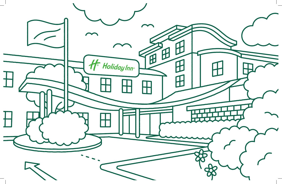